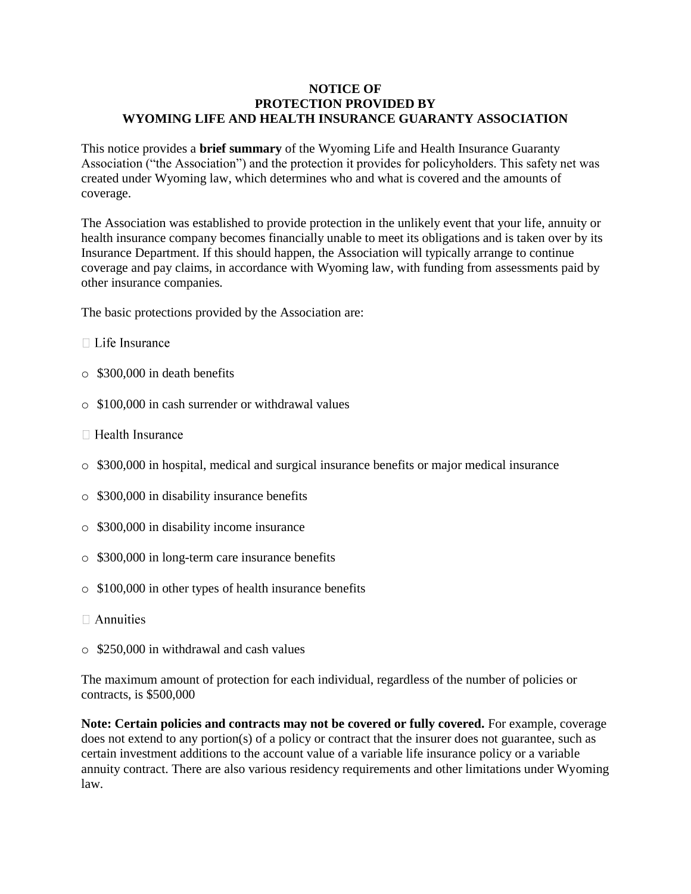## **NOTICE OF PROTECTION PROVIDED BY WYOMING LIFE AND HEALTH INSURANCE GUARANTY ASSOCIATION**

This notice provides a **brief summary** of the Wyoming Life and Health Insurance Guaranty Association ("the Association") and the protection it provides for policyholders. This safety net was created under Wyoming law, which determines who and what is covered and the amounts of coverage.

The Association was established to provide protection in the unlikely event that your life, annuity or health insurance company becomes financially unable to meet its obligations and is taken over by its Insurance Department. If this should happen, the Association will typically arrange to continue coverage and pay claims, in accordance with Wyoming law, with funding from assessments paid by other insurance companies.

The basic protections provided by the Association are:

- $\Box$  Life Insurance
- o \$300,000 in death benefits
- o \$100,000 in cash surrender or withdrawal values
- $\Box$  Health Insurance
- o \$300,000 in hospital, medical and surgical insurance benefits or major medical insurance
- o \$300,000 in disability insurance benefits
- o \$300,000 in disability income insurance
- o \$300,000 in long-term care insurance benefits
- o \$100,000 in other types of health insurance benefits
- $\Box$  Annuities
- o \$250,000 in withdrawal and cash values

The maximum amount of protection for each individual, regardless of the number of policies or contracts, is \$500,000

**Note: Certain policies and contracts may not be covered or fully covered.** For example, coverage does not extend to any portion(s) of a policy or contract that the insurer does not guarantee, such as certain investment additions to the account value of a variable life insurance policy or a variable annuity contract. There are also various residency requirements and other limitations under Wyoming law.